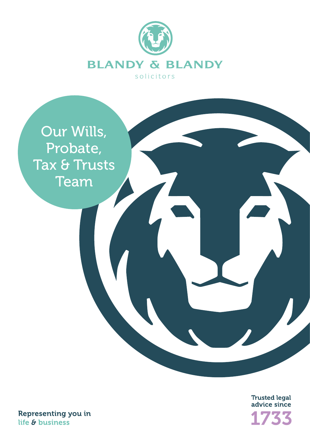



Trusted legal<br>advice since 733

Representing you in life & business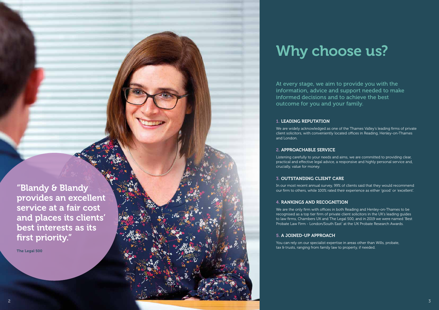"Blandy & Blandy provides an excellent service at a fair cost and places its clients' best interests as its first priority."

The Legal 500

### 1. LEADING REPUTATION

We are widely acknowledged as one of the Thames Valley's leading firms of private client solicitors, with conveniently located offices in Reading, Henley-on-Thames and London.

### 2. APPROACHABLE SERVICE

Listening carefully to your needs and aims, we are committed to providing clear, practical and effective legal advice, a responsive and highly personal service and, crucially, value for money.

# 3. OUTSTANDING CLIENT CARE

In our most recent annual survey, 99% of clients said that they would recommend our firm to others, while 100% rated their experience as either 'good' or 'excellent'.

# 4. RANKINGS AND RECOGNITION

We are the only firm with offices in both Reading and Henley-on-Thames to be recognised as a top tier firm of private client solicitors in the UK's leading guides to law firms, Chambers UK and The Legal 500, and in 2019 we were named 'Best Probate Law Firm - London/South East' at the UK Probate Research Awards.

# 5. A JOINED-UP APPROACH

You can rely on our specialist expertise in areas other than Wills, probate, tax & trusts, ranging from family law to property, if needed.

# Why choose us?

At every stage, we aim to provide you with the information, advice and support needed to make informed decisions and to achieve the best outcome for you and your family.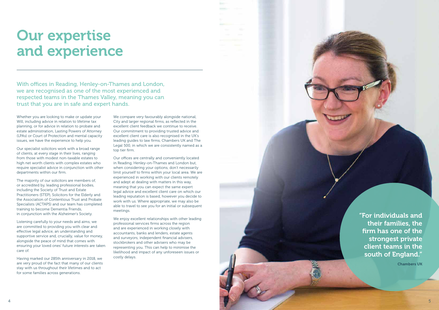Whether you are looking to make or update your Will, including advice in relation to lifetime tax planning, or for advice in relation to probate and estate administration, Lasting Powers of Attorney (LPAs) or Court of Protection and mental capacity issues, we have the experience to help you.

Our specialist solicitors work with a broad range of clients, at every stage in their lives, ranging from those with modest non-taxable estates to high net worth clients with complex estates who require specialist advice in conjunction with other departments within our firm.

The majority of our solicitors are members of, or accredited by, leading professional bodies, including the Society of Trust and Estate Practitioners (STEP), Solicitors for the Elderly and the Association of Contentious Trust and Probate Specialists (ACTAPS) and our team has completed training to become Dementia Friends, in conjunction with the Alzheimer's Society.

We compare very favourably alongside national, City and larger regional firms, as reflected in the excellent client feedback we continue to receive. Our commitment to providing trusted advice and excellent client care is also recognised in the UK's leading guides to law firms, Chambers UK and The Legal 500, in which we are consistently named as a top tier firm.

Listening carefully to your needs and aims, we are committed to providing you with clear and effective legal advice, an understanding and supportive service and, crucially, value for money, alongside the peace of mind that comes with ensuring your loved ones' future interests are taken care of.

Having marked our 285th anniversary in 2018, we are very proud of the fact that many of our clients stay with us throughout their lifetimes and to act for some families across generations.

Our offices are centrally and conveniently located in Reading, Henley-on-Thames and London but, when considering your options, don't necessarily limit yourself to firms within your local area. We are experienced in working with our clients remotely and adept at dealing with matters in this way, meaning that you can expect the same expert legal advice and excellent client care on which our leading reputation is based, however you decide to work with us. Where appropriate, we may also be able to travel to see you for an initial or subsequent meetings.

We enjoy excellent relationships with other leading professional services firms across the region and are experienced in working closely with accountants, banks and lenders, estate agents and surveyors, independent financial advisers, stockbrokers and other advisers who may be representing you. This can help to minimise the likelihood and impact of any unforeseen issues or costly delays.



# Our expertise and experience

With offices in Reading, Henley-on-Thames and London, we are recognised as one of the most experienced and respected teams in the Thames Valley, meaning you can trust that you are in safe and expert hands.

> "For individuals and their families, the firm has one of the strongest private client teams in the south of England."

> > Chambers UK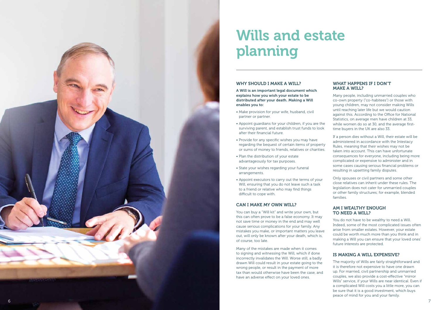# WHY SHOULD I MAKE A WILL?

A Will is an important legal document which explains how you wish your estate to be distributed after your death. Making a Will enables you to:

- Make provision for your wife, husband, civil partner or partner.
- Appoint guardians for your children, if you are the surviving parent, and establish trust funds to look after their financial future.
- Provide for any specific wishes you may have regarding the bequest of certain items of property or sums of money to friends, relatives or charities.
- Plan the distribution of your estate advantageously for tax purposes.
- State your wishes regarding your funeral arrangements.
- Appoint executors to carry out the terms of your Will, ensuring that you do not leave such a task to a friend or relative who may find things difficult to cope with.

# CAN I MAKE MY OWN WILL?

You can buy a "Will kit" and write your own, but this can often prove to be a false economy. It may not save time or money in the end and may well cause serious complications for your family. Any mistakes you make, or important matters you leave out, will only be known after your death, which is, of course, too late.

Many of the mistakes are made when it comes to signing and witnessing the Will, which if done incorrectly invalidates the Will. Worse still, a badly drawn Will could result in your estate going to the wrong people, or result in the payment of more tax than would otherwise have been the case, and have an adverse effect on your loved ones.

## WHAT HAPPENS IF I DON'T MAKE A WILL?

Many people, including unmarried couples who co-own property ("co-habitees") or those with young children, may not consider making Wills until reaching later life but we would caution against this. According to the Office for National Statistics, on average men have children at 33, while women do so at 30, and the average firsttime buyers in the UK are also 33.

If a person dies without a Will, their estate will be administered in accordance with the Intestacy Rules, meaning that their wishes may not be taken into account. This can have unfortunate consequences for everyone, including being more complicated or expensive to administer and in some cases causing serious financial problems or resulting in upsetting family disputes.

Only spouses or civil partners and some other close relatives can inherit under these rules. The legislation does not cater for unmarried couples or other family structures; for example, blended families.

# AM I WEALTHY ENOUGH TO NEED A WILL?

You do not have to be wealthy to need a Will. Indeed, some of the most complicated issues often arise from smaller estates. However, your estate could be worth much more than you think and in making a Will you can ensure that your loved ones' future interests are protected.

# IS MAKING A WILL EXPENSIVE?

The majority of Wills are fairly straightforward and it is therefore not expensive to have one drawn up. For married, civil partnership and unmarried couples, we also provide a cost-effective "mirror Wills" service, if your Wills are near identical. Even if a complicated Will costs you a little more, you can be sure that it is a good investment, which buys peace of mind for you and your family.

# Wills and estate planning

![](_page_3_Picture_0.jpeg)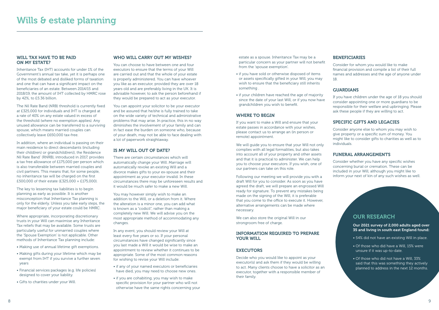#### WILL TAX HAVE TO BE PAID ON MY ESTATE?

Inheritance Tax (IHT) accounts for under 1% of the Government's annual tax take, yet it is perhaps one of the most debated and disliked forms of taxation and one that can have a significant impact on the beneficiaries of an estate. Between 2014/15 and 2018/19, the amount of IHT collected by HMRC rose by 42%, to £5.36 billion.

The Nil Rate Band (NRB) threshold is currently fixed at £325,000 for individuals and IHT is charged at a rate of 40% on any estate valued in excess of the threshold (where no exemption applies). Any unused allowance can be transferred to a surviving spouse, which means married couples can collectively leave £650,000 tax-free.

In addition, where an individual is passing on their main residence to direct descendants (including their child(ren) or grandchild(ren)), the Residence Nil Rate Band' (RNRB), introduced in 2017, provides a tax free allowance of £175,000 per person which is also transferable between married couples and civil partners. This means that, for some people, no inheritance tax will be charged on the first £500,000 of their estate (£325,000 + £175,000).

The key to lessening tax liabilities is to begin planning as early as possible. It is another misconception that Inheritance Tax planning is only for the elderly. Unless you take early steps, the major beneficiary of your estate could be HMRC.

Where appropriate, incorporating discretionary trusts in your Will can maximise any Inheritance Tax reliefs that may be available. Some trusts are particularly useful for unmarried couples where the 'Spouse Exemption' is not applicable. Other methods of Inheritance Tax planning include:

- Making use of annual lifetime gift exemptions.
- Making gifts during your lifetime which may be exempt from IHT if you survive a further seven years
- Financial services packages (e.g. life policies) designed to cover your liability.
- Gifts to charities under your Will.

# WHO WILL CARRY OUT MY WISHES?

You can choose to have between one and four executors to ensure that the terms of your Will are carried out and that the whole of your estate is properly administered. You can have whoever you like as an executor, provided they are over 18 years old and are preferably living in the UK. It is advisable however, to ask the person beforehand if they would be prepared to act as your executor.

You can appoint your solicitor to be your executor and be assured that he/she is fully trained to take on the wide variety of technical and administrative problems that may arise. In practice, this in no way diminishes the involvement of your family and can in fact ease the burden on someone who, because of your death, may not be able to face dealing with a lot of paperwork straightaway.

# IS MY WILL OUT OF DATE?

There are certain circumstances which will automatically change your Will. Marriage will automatically revoke an existing Will and a divorce makes gifts to your ex-spouse and their appointment as your executor invalid. In these circumstances there may be unforeseen results and it would be much safer to make a new Will.

You may however simply wish to make an addition to the Will, or a deletion from it. Where the alteration is a minor one, you can add what is known as a "codicil", rather than making a completely new Will. We will advise you on the most appropriate method of accommodating any changes.

In any event, you should review your Will at least every five years or so. If your personal circumstances have changed significantly since you last made a Will it would be wise to make an appointment to review whether it continues to be appropriate. Some of the most common reasons for wishing to revise your Will include:

- if any of your named executors or beneficiaries have died, you may need to choose new ones.
- if you are cohabiting, you may wish to make specific provision for your partner who will not otherwise have the same rights concerning your

estate as a spouse. Inheritance Tax may be a particular concern as your partner will not benefit from the 'spouse exemption'.

- if you have sold or otherwise disposed of items or assets specifically gifted in your Will, you may wish to ensure that the beneficiary still inherits something .
- if your children have reached the age of majority since the date of your last Will, or if you now have grandchildren you wish to benefit.

# WHERE TO BEGIN

If you want to make a Will and ensure that your estate passes in accordance with your wishes, please contact us to arrange an (in person or remote) appointment.

We will guide you to ensure that your Will not only complies with all legal formalities, but also takes into account all of your property and other assets and that it is practical to administer. We can help you to choose your executors. If you wish, one of our partners can take on this role.

Following our meeting we will provide you with a draft Will for you to consider. As soon as you have agreed the draft, we will prepare an engrossed Will ready for signature. To prevent any mistakes being made on the signing of the Will, it is preferable that you come to the office to execute it. However, alternative arrangements can be made where necessary.

We can also store the original Will in our strongroom free of charge.

# INFORMATION REQUIRED TO PREPARE YOUR WILL

# **EXECUTORS**

Decide who you would like to appoint as your executor(s) and ask them if they would be willing to act. Many clients choose to have a solicitor as an executor, together with a responsible member of their family.

# BENEFICIARIES

Consider for whom you would like to make financial provision and compile a list of their full names and addresses and the age of anyone under 18.

# GUARDIANS

If you have children under the age of 18 you should consider appointing one or more guardians to be responsible for their welfare and upbringing. Please ask these people if they are willing to act.

# SPECIFIC GIFTS AND LEGACIES

Consider anyone else to whom you may wish to give property or a specific sum of money. You might like to consider gifts to charities as well as to individuals.

## FUNERAL ARRANGEMENTS

Consider whether you have any specific wishes concerning burial or cremation. These can be included in your Will, although you might like to inform your next of kin of any such wishes as well.

# OUR RESEARCH

Our 2021 survey of 2,000 adults aged over 35 and living in south east England found:

- 54% did not have an existing Will in place.
- Of those who did have a Will, 15% were unsure if it was up-to-date.
- Of those who did not have a Will, 33% said that this was something they actively planned to address in the next 12 months.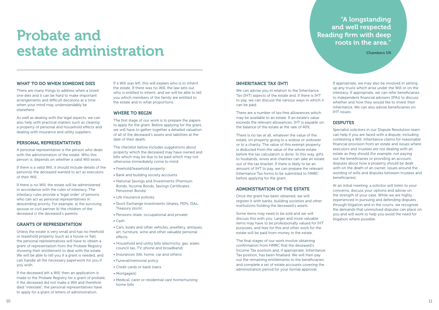# Probate and estate administration

# WHAT TO DO WHEN SOMEONE DIES

There are many things to address when a loved one dies and it can be hard to make important arrangements and difficult decisions at a time when your mind may understandably be elsewhere.

As well as dealing with the legal aspects, we can also help with practical matters such as clearing a property of personal and household effects and dealing with insurance and utility suppliers.

## PERSONAL REPRESENTATIVES

A personal representative is the person who deals with the administration of the estate. Who this person is, depends on whether a valid Will exists.

If there is a valid Will, it should include details of the person(s) the deceased wanted to act as executors of their Will.

If there is no Will, the estate will be administered in accordance with the rules of intestacy. The intestacy rules provide a 'legal order' of persons who can act as personal representatives in descending priority. For example, a) the surviving spouse or civil partner b) the children of the deceased c) the deceased's parents.

# GRANTS OF REPRESENTATION

Unless the estate is very small and has no freehold or leasehold property (such as a house or flat), the personal representatives will have to obtain a grant of representation from the Probate Registry showing their entitlement to deal with the estate. We will be able to tell you if a grant is needed, and can handle all the necessary paperwork for you if you wish.

If the deceased left a Will, then an application is made to the Probate Registry for a grant of probate; if the deceased did not make a Will and therefore died "intestate", the personal representatives have to apply for a grant of letters of administration.

If a Will was left, this will explain who is to inherit the estate. If there was no Will, the law sets out who is entitled to inherit, and we will be able to tell you which members of the family are entitled to the estate and in what proportions.

# WHERE TO BEGIN

The first stage of our work is to prepare the papers to apply for the grant. Before applying for the grant, we will have to gather together a detailed valuation of all of the deceased's assets and liabilities at the date of their death.

The checklist below includes suggestions about property which the deceased may have owned and bills which may be due to be paid which may not otherwise immediately come to mind.

- Freehold/leasehold property
- Bank and building society accounts
- National Savings and Investments (Premium Bonds, Income Bonds, Savings Certificates, Pensioner Bonds)
- Life insurance policies
- Stock Exchange investments (shares, PEPs, ISAs, Treasury stock)
- Pensions (state, occupational and private)
- Cash
- Cars, boats and other vehicles, jewellery, antiques, art, furniture, wine and other valuable personal effects
- Household and utility bills (electricity, gas, water, council tax, TV, phone and broadband)
- Insurances (life, home, car and others)
- Funeral/memorial policy
- Credit cards or bank loans
- Mortgage(s)
- Medical, carer or residential care home/nursing home bills

# INHERITANCE TAX (IHT)

We can advise you in relation to the Inheritance Tax (IHT) aspects of the estate and, if there is IHT to pay, we can discuss the various ways in which it can be paid.

There are a number of tax-free allowances which may be available to an estate. If an estate's value exceeds the relevant allowances, IHT is payable on the balance of the estate at the rate of 40%.

There is no tax at all, whatever the value of the estate, on property going to a widow or widower or to a charity. The value of this exempt property is deducted from the value of the whole estate before the tax calculation is done. In this way, gifts to husbands, wives and charities can take an estate out of the tax bracket. If there is likely to be an amount of IHT to pay, we can prepare the relevant Inheritance Tax forms to be submitted to HMRC before applying for the grant.

# ADMINISTRATION OF THE ESTATE

Once the grant has been obtained, we will register it with banks, building societies and other institutions holding the deceased's assets.

Some items may need to be sold and we will discuss this with you. Larger and more valuable items may have to be professionally valued for IHT purposes, and fees for this and other work for the estate will be paid from money in the estate.

The final stages of our work involve obtaining confirmation from HMRC that the deceased's Income Tax position and, if appropriate, Inheritance Tax position, has been finalised. We will then pay out the remaining entitlements to the beneficiaries and complete a set of estate accounts covering the administration period for your formal approval.

If appropriate, we may also be involved in setting up any trusts which arise under the Will or on the intestacy. If appropriate, we can refer beneficiaries to independent financial advisers (IFAs) to discuss whether and how they would like to invest their inheritance. We can also advise beneficiaries on IHT issues.

# DISPUTES

Specialist solicitors in our Dispute Resolution team can help if you are faced with a dispute, including contesting a Will, inheritance claims for reasonable financial provision from an estate and issues where executors and trustees are not dealing with an estate as they should (for example, not paying out the beneficiaries or providing an account, disputes about how a property should be dealt with on the death of an owner, issues around the wording of wills and disputes between trustees and beneficiaries).

At an initial meeting, a solicitor will listen to your concerns, discuss your options and advise on the strength of your case. While we are highly experienced in pursuing and defending disputes through litigation and in the courts, we recognise the demands that unresolved disputes can place on you and will work to help you avoid the need for litigation where possible.

"A longstanding and well respected Reading firm with deep roots in the area."

Chambers UK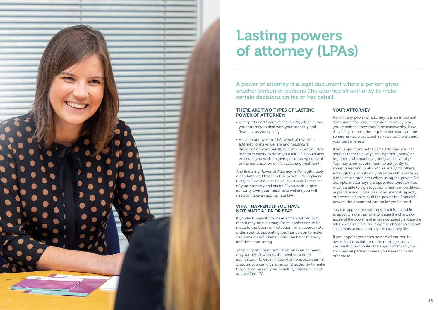![](_page_6_Picture_0.jpeg)

# THERE ARE TWO TYPES OF LASTING POWER OF ATTORNEY:

- A property and financial affairs LPA, which allows your attorney to deal with your property and finances, as you specify.
- A health and welfare LPA, which allows your attorney to make welfare and healthcare decisions on your behalf, but only when you lack mental capacity to do so yourself. This could also extend, if you wish, to giving or refusing consent to the continuation of life sustaining treatment.

Any Enduring Power of Attorney (EPA), legitimately made before 1 October 2007 (when LPAs replaced EPAs), will continue to be valid but only in respect of your property and affairs. If you wish to give authority over your health and welfare you will need to make an appropriate LPA.

# WHAT HAPPENS IF YOU HAVE NOT MADE A LPA OR EPA?

If you lack capacity to make a financial decision, then it may be necessary for an application to be made to the Court of Protection for an appropriate order, such as appointing another person to make decisions on your behalf. This can be both costly and time consuming.

 Most care and treatment decisions can be made on your behalf without the need for a court application. However, if you wish to avoid potential disputes you can give a person(s) authority to make those decisions on your behalf by making a health and welfare LPA.

# YOUR ATTORNEY

As with any power of attorney, it is an important document. You should consider carefully who you appoint as they should be trustworthy, have the ability to make the required decisions and be someone you trust to act as you would wish and in your best interests.

If you appoint more than one attorney, you can appoint them to always act together (jointly) or together and separately (jointly and severally). You may even appoint them to act jointly for some things and jointly and severally for others, although this should only be done with advice, as it may cause problems when using the power. For example, if attorneys are appointed together they must be able to sign together which can be difficult in practice and if one dies, loses mental capacity or becomes bankrupt (if the power is a financial power), the document can no longer be used.

You can appoint one attorney, but it is advisable to appoint more than one to lessen the chance of abuse of the power and ensure continuity in case the attorney cannot act. You may also choose to appoint successors to your attorneys, in case they die.

If you appoint your spouse or civil partner, be aware that dissolution of the marriage or civil partnership terminates the appointment of your spouse/civil partner, unless you have indicated otherwise.

# Lasting powers of attorney (LPAs)

A power of attorney is a legal document where a person gives another person or persons (the attorney(s)) authority to make certain decisions on his or her behalf.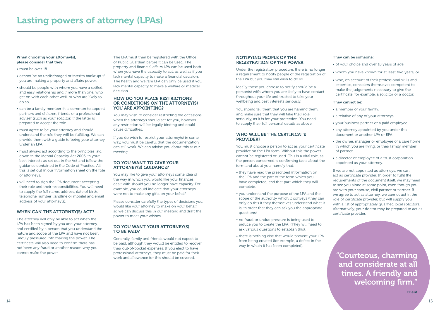### NOTIFYING PEOPLE OF THE REGISTRATION OF THE POWER

Under the registration procedure, there is no longer a requirement to notify people of the registration of the LPA but you may still wish to do so.

Ideally those you choose to notify should be a person(s) with whom you are likely to have contact throughout your life and trusted to take your wellbeing and best interests seriously.

You should tell them that you are naming them, and make sure that they will take their role seriously, as it is for your protection. You need to supply their full personal details as above.

## WHO WILL BE THE CERTIFICATE PROVIDER?

You must choose a person to act as your certificate provider on the LPA form. Without this the power cannot be registered or used. This is a vital role, as the person concerned is confirming facts about the form and about you, namely that:

- they have read the prescribed information on the LPA and the part of the form which you have completed, and that part which they will complete.
- you understand the purpose of the LPA and the scope of the authority which it conveys (they can only do this if they themselves understand what it is, in order that they can ask you the appropriate questions).
- no fraud or undue pressure is being used to induce you to create the LPA. (They will need to ask various questions to establish this).
- there is nothing else that would prevent your LPA from being created (for example, a defect in the way in which it has been completed).

#### They can be someone:

- of your choice and over 18 years of age.
- whom you have known for at least two years, or
- who, on account of their professional skills and expertise, considers themselves competent to make the judgements necessary to give the certificate, for example, a solicitor or a doctor.

#### They cannot be:

- a member of your family.
- a relative of any of your attorneys.
- your business partner or a paid employee.
- any attorney appointed by you under this document or another LPA or EPA.
- the owner, manager or employee of a care home in which you are living, or their family member of partner.
- a director or employee of a trust corporation appointed as your attorney.

#### HOW DO YOU PLACE RESTRICTIONS OR CONDITIONS ON THE ATTORNEY(S) YOU ARE APPOINTING?

If we are not appointed as attorneys, we can act as certificate provider. In order to fulfil the requirements of the document itself, we may need to see you alone at some point, even though you are with your spouse, civil partner or partner. If we agree to act as attorney, we cannot act in the role of certificate provider, but will supply you with a list of appropriately qualified local solicitors. Alternatively, your doctor may be prepared to act as certificate provider.

#### When choosing your attorney(s), please consider that they:

- must be over 18.
- cannot be an undischarged or interim bankrupt if you are making a property and affairs power.
- should be people with whom you have a settled and easy relationship and if more than one, who get on with each other well, or who are likely to do so.
- can be a family member (it is common to appoint partners and children, friends or a professional adviser (such as your solicitor) if the latter is prepared to accept the role.
- must agree to be your attorney and should understand the role they will be fulfilling. We can provide them with a guide to being your attorney under an LPA.
- must always act according to the principles laid down in the Mental Capacity Act 2005, in your best interests as set out in the Act and follow the guidance contained in the Code of Practice. All this is set out in our information sheet on the role of attorneys.
- will need to sign the LPA document accepting their role and their responsibilities. You will need to supply the full name, address, date of birth, telephone number (landline or mobile) and email address of your attorney(s).

# WHEN CAN THE ATTORNEY(S) ACT?

The attorney will only be able to act when the LPA has been signed by you and your attorney, and certified by a person that you understand the nature and scope of the LPA and have not been unduly pressured into making the power. The certificate will also need to confirm there has not been any fraud or another reason why you cannot make the power.

The LPA must then be registered with the Office of Public Guardian before it can be used. The property and financial affairs LPA can be used both when you have the capacity to act, as well as if you lack mental capacity to make a financial decision. The health and welfare LPA can only be used if you lack mental capacity to make a welfare or medical decision.

You may wish to consider restricting the occasions when the attorneys should act for you, however any restriction will be legally binding and could cause difficulties.

If you do wish to restrict your attorney(s) in some way, you must be careful that the documentation can still work. We can advise you about this at our meeting.

# DO YOU WANT TO GIVE YOUR ATTORNEY(S) GUIDANCE?

You may like to give your attorneys some idea of the way in which you would like your finances dealt with should you no longer have capacity. For example, you could indicate that your attorneys were not to make any gifts on your behalf.

Please consider carefully the types of decisions you would like your attorney to make on your behalf, so we can discuss this in our meeting and draft the power to meet your wishes.

# DO YOU WANT YOUR ATTORNEY(S) TO BE PAID?

Generally, family and friends would not expect to be paid, although they would be entitled to recover their out-of-pocket expenses. If you elect to have professional attorneys, they must be paid for their work and allowance for this should be covered.

"Courteous, charming and considerate at all times. A friendly and welcoming firm."

**Client**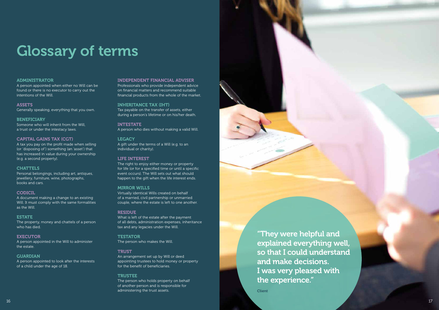## ADMINISTRATOR

A person appointed when either no Will can be found or there is no executor to carry out the intentions of the Will.

ASSETS Generally speaking, everything that you own.

## **BENEFICIARY**

Someone who will inherit from the Will, a trust or under the intestacy laws.

## CAPITAL GAINS TAX (CGT)

A tax you pay on the profit made when selling (or 'disposing of') something (an 'asset') that has increased in value during your ownership (e.g. a second property).

# **CHATTELS**

Personal belongings, including art, antiques, jewellery, furniture, wine, photographs, books and cars.

### CODICIL

A document making a change to an existing Will. It must comply with the same formalities as the Will.

### ESTATE

The property, money and chattels of a person who has died.

### **EXECUTOR**

A person appointed in the Will to administer the estate.

### **GUARDIAN**

A person appointed to look after the interests of a child under the age of 18.

#### INDEPENDENT FINANCIAL ADVISER

Professionals who provide independent advice on financial matters and recommend suitable financial products from the whole of the market.

### INHERITANCE TAX (IHT)

Tax payable on the transfer of assets, either during a person's lifetime or on his/her death.

INTESTATE A person who dies without making a valid Will.

### **LEGACY**

A gift under the terms of a Will (e.g. to an individual or charity).

### LIFE INTEREST

The right to enjoy either money or property for life (or for a specified time or until a specific event occurs). The Will sets out what should happen to the gift when the life interest ends.

### MIRROR WILLS

Virtually identical Wills created on behalf of a married, civil partnership or unmarried couple, where the estate is left to one another.

### RESIDUE

What is left of the estate after the payment of all debts, administration expenses, inheritance tax and any legacies under the Will.

### **TESTATOR**

The person who makes the Will.

### **TRUST**

An arrangement set up by Will or deed appointing trustees to hold money or property for the benefit of beneficiaries.

### **TRUSTEE**

The person who holds property on behalf of another person and is responsible for administering the trust assets.

# Glossary of terms

"They were helpful and explained everything well, so that I could understand and make decisions. I was very pleased with the experience."

**Client**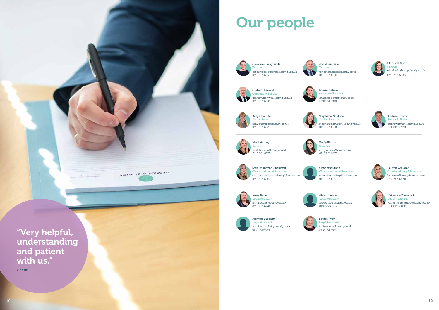![](_page_9_Picture_0.jpeg)

AGNVTR & AGNVTR

"Very helpful, understanding and patient with us." **Client** 

Anna Butler Legal Assistant 0118 951 6948

Stephanie Scullion ior Solicitor stephanie.scullion@blandy.co.uk

![](_page_9_Picture_29.jpeg)

0118 951 6846

# Our people

anna.butller@blandy.co.uk

Louise Ryan Legal Assistant louise.ryan@blandy.co.uk 0118 951 6949

Katherine Dimmock Legal Assistant katherine.dimmock@blandy.co.uk 0118 951 6830

Lauren Williams Chartered Legal Executive lauren.williams@blandy.co.uk 0118 951 6840

Andrew Smith Senior Solicitor andrew.smith@blandy.co.uk 0118 951 6938

![](_page_9_Picture_7.jpeg)

Kelly Chandler Senior Solicitor kelly.chandler@blandy.co.uk

![](_page_9_Picture_12.jpeg)

emly.riesco@blandy.co.uk

Jasmine Mockett Legal Assistant jasmine.mockett@blandy.co.uk 0118 951 6889

Sara Dalmazzo-Auckland Chartered Legal Executive sara.dalmazzo-auckland@blandy.co.uk 0118 951 6807

![](_page_9_Picture_15.jpeg)

![](_page_9_Picture_10.jpeg)

Kirsti Harvey kirsti.harvey@blandy.co.uk

Chartered Legal Executive charlotte.smith@blandy.co.uk

![](_page_9_Picture_34.jpeg)

![](_page_9_Picture_18.jpeg)

alice.chaplin@blandy.co.uk

Elizabeth Short Partner elizabeth.short@blandy.co.uk 0118 951 6845

![](_page_9_Figure_2.jpeg)

#### Jonathan Gater

jonathan.gater@blandy.co.uk

![](_page_9_Picture_25.jpeg)

Partner W 0118 951 6842

![](_page_9_Picture_4.jpeg)

Consultant Solicitor graham.benwell@blandy.co.uk

Louise Nelson 0118 951 6918

Associate Solicitor louise.nelson@blandy.co.uk